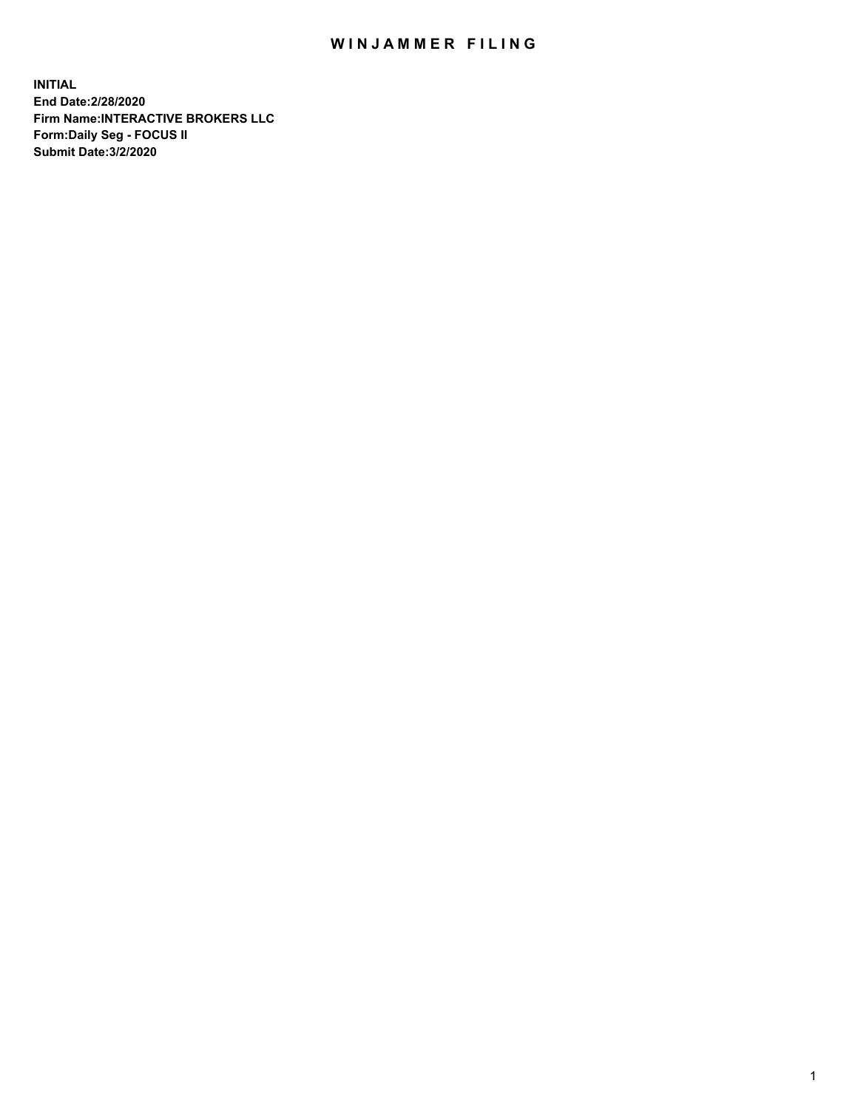## WIN JAMMER FILING

**INITIAL End Date:2/28/2020 Firm Name:INTERACTIVE BROKERS LLC Form:Daily Seg - FOCUS II Submit Date:3/2/2020**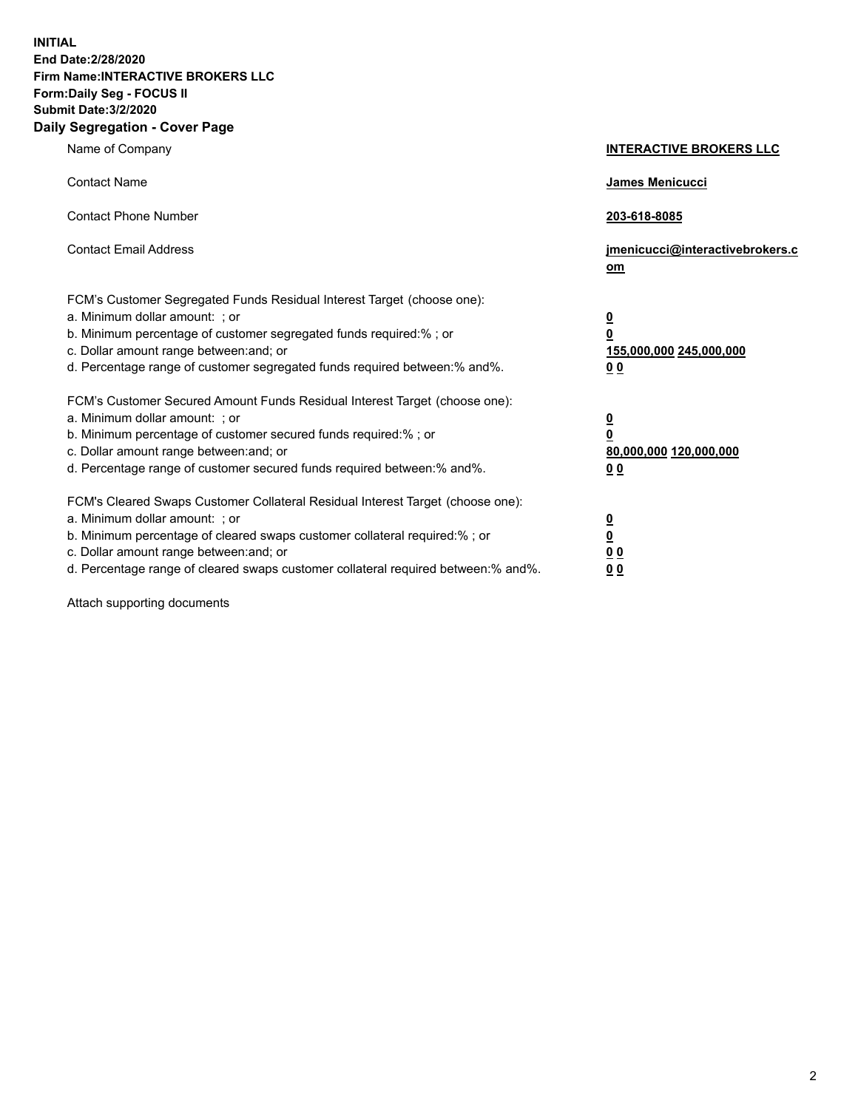**INITIAL End Date:2/28/2020 Firm Name:INTERACTIVE BROKERS LLC Form:Daily Seg - FOCUS II Submit Date:3/2/2020 Daily Segregation - Cover Page**

| Name of Company                                                                                                                                                                                                                                                                                                                | <b>INTERACTIVE BROKERS LLC</b>                                                      |
|--------------------------------------------------------------------------------------------------------------------------------------------------------------------------------------------------------------------------------------------------------------------------------------------------------------------------------|-------------------------------------------------------------------------------------|
| <b>Contact Name</b>                                                                                                                                                                                                                                                                                                            | James Menicucci                                                                     |
| <b>Contact Phone Number</b>                                                                                                                                                                                                                                                                                                    | 203-618-8085                                                                        |
| <b>Contact Email Address</b>                                                                                                                                                                                                                                                                                                   | jmenicucci@interactivebrokers.c<br>om                                               |
| FCM's Customer Segregated Funds Residual Interest Target (choose one):<br>a. Minimum dollar amount: : or<br>b. Minimum percentage of customer segregated funds required:% ; or<br>c. Dollar amount range between: and; or<br>d. Percentage range of customer segregated funds required between:% and%.                         | $\overline{\mathbf{0}}$<br>$\overline{\mathbf{0}}$<br>155,000,000 245,000,000<br>00 |
| FCM's Customer Secured Amount Funds Residual Interest Target (choose one):<br>a. Minimum dollar amount: ; or<br>b. Minimum percentage of customer secured funds required:% ; or<br>c. Dollar amount range between: and; or<br>d. Percentage range of customer secured funds required between:% and%.                           | $\overline{\mathbf{0}}$<br>0<br>80,000,000 120,000,000<br>0 <sub>0</sub>            |
| FCM's Cleared Swaps Customer Collateral Residual Interest Target (choose one):<br>a. Minimum dollar amount: ; or<br>b. Minimum percentage of cleared swaps customer collateral required:% ; or<br>c. Dollar amount range between: and; or<br>d. Percentage range of cleared swaps customer collateral required between:% and%. | <u>0</u><br><u>0</u><br>0 <sub>0</sub><br>0 <sub>0</sub>                            |

Attach supporting documents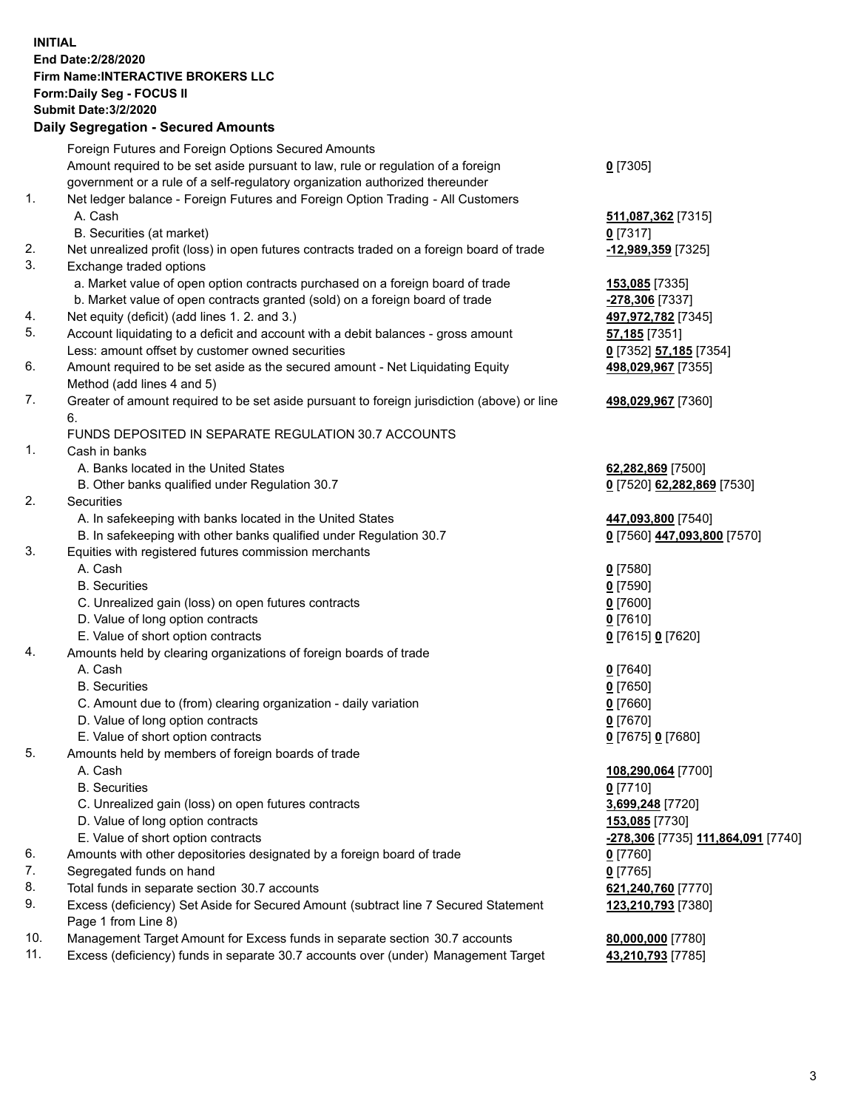**INITIAL End Date:2/28/2020 Firm Name:INTERACTIVE BROKERS LLC Form:Daily Seg - FOCUS II Submit Date:3/2/2020 Daily Segregation - Secured Amounts**

|     | Foreign Futures and Foreign Options Secured Amounts                                               |                                                 |
|-----|---------------------------------------------------------------------------------------------------|-------------------------------------------------|
|     | Amount required to be set aside pursuant to law, rule or regulation of a foreign                  | $0$ [7305]                                      |
|     | government or a rule of a self-regulatory organization authorized thereunder                      |                                                 |
| 1.  | Net ledger balance - Foreign Futures and Foreign Option Trading - All Customers                   |                                                 |
|     | A. Cash                                                                                           | 511,087,362 [7315]                              |
|     | B. Securities (at market)                                                                         | $0$ [7317]                                      |
| 2.  | Net unrealized profit (loss) in open futures contracts traded on a foreign board of trade         | -12,989,359 [7325]                              |
| 3.  | Exchange traded options                                                                           |                                                 |
|     | a. Market value of open option contracts purchased on a foreign board of trade                    | 153,085 [7335]                                  |
|     | b. Market value of open contracts granted (sold) on a foreign board of trade                      | -278,306 [7337]                                 |
| 4.  | Net equity (deficit) (add lines 1. 2. and 3.)                                                     | 497,972,782 [7345]                              |
| 5.  | Account liquidating to a deficit and account with a debit balances - gross amount                 | 57,185 [7351]                                   |
|     | Less: amount offset by customer owned securities                                                  | 0 [7352] 57,185 [7354]                          |
| 6.  | Amount required to be set aside as the secured amount - Net Liquidating Equity                    | 498,029,967 [7355]                              |
|     | Method (add lines 4 and 5)                                                                        |                                                 |
| 7.  | Greater of amount required to be set aside pursuant to foreign jurisdiction (above) or line<br>6. | 498,029,967 [7360]                              |
|     | FUNDS DEPOSITED IN SEPARATE REGULATION 30.7 ACCOUNTS                                              |                                                 |
| 1.  | Cash in banks                                                                                     |                                                 |
|     | A. Banks located in the United States                                                             | 62,282,869 [7500]                               |
|     | B. Other banks qualified under Regulation 30.7                                                    | 0 [7520] 62,282,869 [7530]                      |
| 2.  | Securities                                                                                        |                                                 |
|     | A. In safekeeping with banks located in the United States                                         | 447,093,800 [7540]                              |
|     | B. In safekeeping with other banks qualified under Regulation 30.7                                | 0 [7560] 447,093,800 [7570]                     |
| 3.  | Equities with registered futures commission merchants                                             |                                                 |
|     | A. Cash                                                                                           | $0$ [7580]                                      |
|     | <b>B.</b> Securities                                                                              | $0$ [7590]                                      |
|     | C. Unrealized gain (loss) on open futures contracts                                               | $0$ [7600]                                      |
|     | D. Value of long option contracts                                                                 | $0$ [7610]                                      |
|     | E. Value of short option contracts                                                                | 0 [7615] 0 [7620]                               |
| 4.  | Amounts held by clearing organizations of foreign boards of trade                                 |                                                 |
|     | A. Cash                                                                                           | $0$ [7640]                                      |
|     | <b>B.</b> Securities                                                                              | $0$ [7650]                                      |
|     | C. Amount due to (from) clearing organization - daily variation                                   | $0$ [7660]                                      |
|     | D. Value of long option contracts                                                                 | $0$ [7670]                                      |
|     | E. Value of short option contracts                                                                | 0 [7675] 0 [7680]                               |
| 5.  | Amounts held by members of foreign boards of trade                                                |                                                 |
|     | A. Cash                                                                                           | 108,290,064 [7700]                              |
|     | <b>B.</b> Securities                                                                              | $0$ [7710]                                      |
|     | C. Unrealized gain (loss) on open futures contracts                                               | 3,699,248 [7720]                                |
|     | D. Value of long option contracts                                                                 | 153,085 [7730]                                  |
|     | E. Value of short option contracts                                                                | <mark>-278,306</mark> [7735] 111,864,091 [7740] |
| 6.  | Amounts with other depositories designated by a foreign board of trade                            | 0 [7760]                                        |
| 7.  | Segregated funds on hand                                                                          | $0$ [7765]                                      |
| 8.  | Total funds in separate section 30.7 accounts                                                     | 621,240,760 [7770]                              |
| 9.  | Excess (deficiency) Set Aside for Secured Amount (subtract line 7 Secured Statement               | 123,210,793 [7380]                              |
|     | Page 1 from Line 8)                                                                               |                                                 |
| 10. | Management Target Amount for Excess funds in separate section 30.7 accounts                       | 80,000,000 [7780]                               |
| 11. | Excess (deficiency) funds in separate 30.7 accounts over (under) Management Target                | 43,210,793 [7785]                               |
|     |                                                                                                   |                                                 |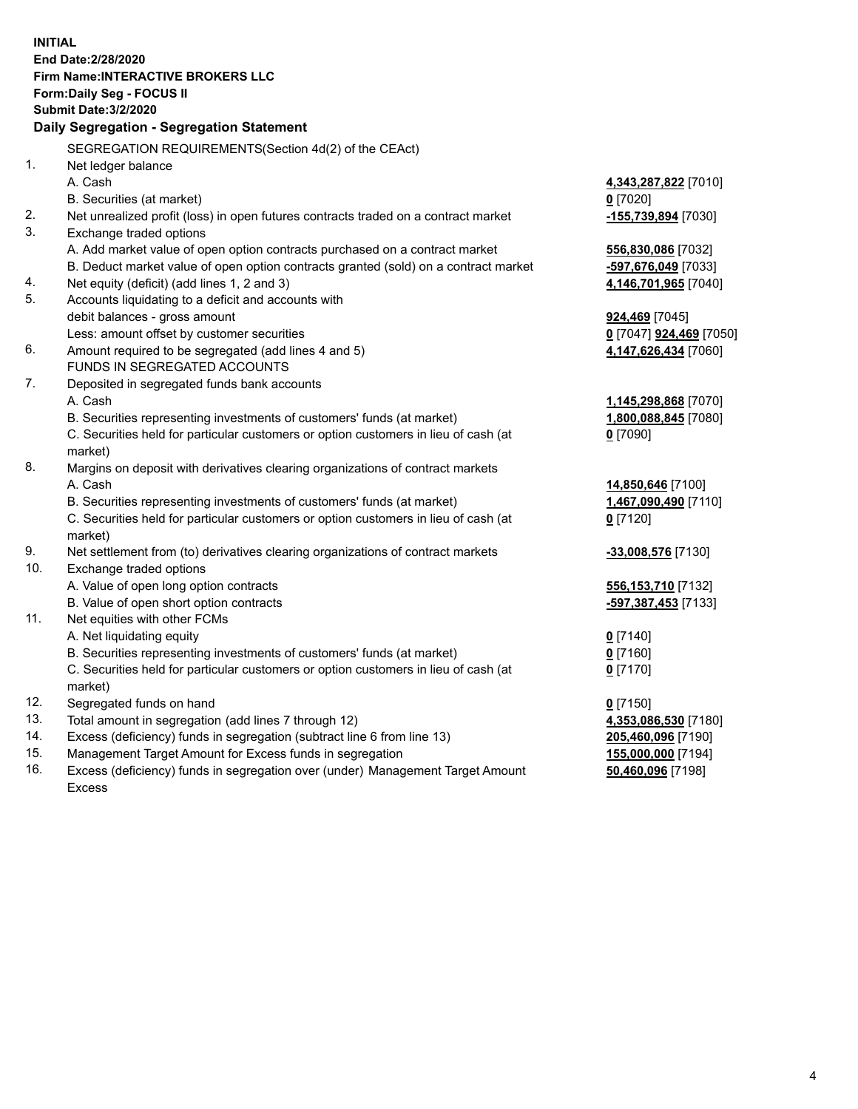**INITIAL End Date:2/28/2020 Firm Name:INTERACTIVE BROKERS LLC Form:Daily Seg - FOCUS II Submit Date:3/2/2020 Daily Segregation - Segregation Statement** SEGREGATION REQUIREMENTS(Section 4d(2) of the CEAct) 1. Net ledger balance A. Cash **4,343,287,822** [7010] B. Securities (at market) **0** [7020] 2. Net unrealized profit (loss) in open futures contracts traded on a contract market **-155,739,894** [7030] 3. Exchange traded options A. Add market value of open option contracts purchased on a contract market **556,830,086** [7032] B. Deduct market value of open option contracts granted (sold) on a contract market **-597,676,049** [7033] 4. Net equity (deficit) (add lines 1, 2 and 3) **4,146,701,965** [7040] 5. Accounts liquidating to a deficit and accounts with debit balances - gross amount **924,469** [7045] Less: amount offset by customer securities **0** [7047] **924,469** [7050] 6. Amount required to be segregated (add lines 4 and 5) **4,147,626,434** [7060] FUNDS IN SEGREGATED ACCOUNTS 7. Deposited in segregated funds bank accounts A. Cash **1,145,298,868** [7070] B. Securities representing investments of customers' funds (at market) **1,800,088,845** [7080] C. Securities held for particular customers or option customers in lieu of cash (at market) **0** [7090] 8. Margins on deposit with derivatives clearing organizations of contract markets A. Cash **14,850,646** [7100] B. Securities representing investments of customers' funds (at market) **1,467,090,490** [7110] C. Securities held for particular customers or option customers in lieu of cash (at market) **0** [7120] 9. Net settlement from (to) derivatives clearing organizations of contract markets **-33,008,576** [7130] 10. Exchange traded options A. Value of open long option contracts **556,153,710** [7132] B. Value of open short option contracts **-597,387,453** [7133] 11. Net equities with other FCMs A. Net liquidating equity **0** [7140] B. Securities representing investments of customers' funds (at market) **0** [7160] C. Securities held for particular customers or option customers in lieu of cash (at market) **0** [7170] 12. Segregated funds on hand **0** [7150] 13. Total amount in segregation (add lines 7 through 12) **4,353,086,530** [7180] 14. Excess (deficiency) funds in segregation (subtract line 6 from line 13) **205,460,096** [7190] 15. Management Target Amount for Excess funds in segregation **155,000,000** [7194] 16. Excess (deficiency) funds in segregation over (under) Management Target Amount **50,460,096** [7198]

Excess